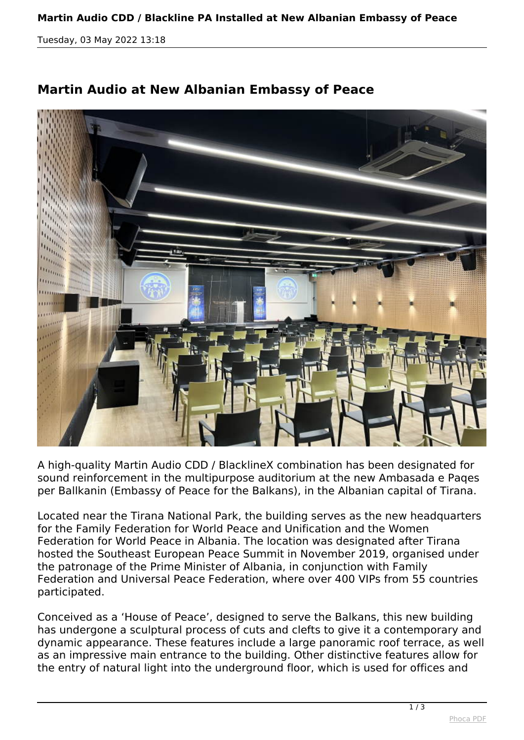## **Martin Audio CDD / Blackline PA Installed at New Albanian Embassy of Peace**

*Tuesday, 03 May 2022 13:18*



## **Martin Audio at New Albanian Embassy of Peace**

*A high-quality Martin Audio CDD / BlacklineX combination has been designated for sound reinforcement in the multipurpose auditorium at the new Ambasada e Paqes per Ballkanin (Embassy of Peace for the Balkans), in the Albanian capital of Tirana.*

*Located near the Tirana National Park, the building serves as the new headquarters for the Family Federation for World Peace and Unification and the Women Federation for World Peace in Albania. The location was designated after Tirana hosted the Southeast European Peace Summit in November 2019, organised under the patronage of the Prime Minister of Albania, in conjunction with Family Federation and Universal Peace Federation, where over 400 VIPs from 55 countries participated.*

*Conceived as a 'House of Peace', designed to serve the Balkans, this new building has undergone a sculptural process of cuts and clefts to give it a contemporary and dynamic appearance. These features include a large panoramic roof terrace, as well as an impressive main entrance to the building. Other distinctive features allow for the entry of natural light into the underground floor, which is used for offices and*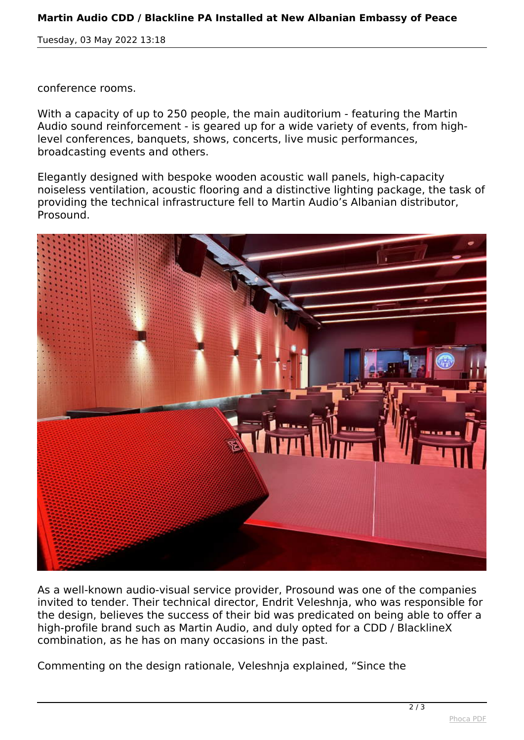## **Martin Audio CDD / Blackline PA Installed at New Albanian Embassy of Peace**

*Tuesday, 03 May 2022 13:18*

*conference rooms.*

*With a capacity of up to 250 people, the main auditorium - featuring the Martin Audio sound reinforcement - is geared up for a wide variety of events, from highlevel conferences, banquets, shows, concerts, live music performances, broadcasting events and others.*

*Elegantly designed with bespoke wooden acoustic wall panels, high-capacity noiseless ventilation, acoustic flooring and a distinctive lighting package, the task of providing the technical infrastructure fell to Martin Audio's Albanian distributor, Prosound.*



*As a well-known audio-visual service provider, Prosound was one of the companies invited to tender. Their technical director, Endrit Veleshnja, who was responsible for the design, believes the success of their bid was predicated on being able to offer a high-profile brand such as Martin Audio, and duly opted for a CDD / BlacklineX combination, as he has on many occasions in the past.*

*Commenting on the design rationale, Veleshnja explained, "Since the*